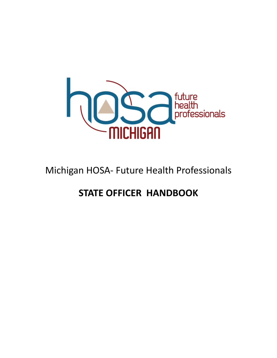

# Michigan HOSA- Future Health Professionals

## **STATE OFFICER HANDBOOK**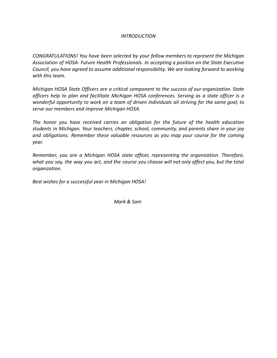#### *INTRODUCTION*

*CONGRATULATIONS! You have been selected by your fellow members to represent the Michigan Association of HOSA- Future Health Professionals. In accepting a position on the State Executive Council, you have agreed to assume additional responsibility. We are looking forward to working with this team.*

*Michigan HOSA State Officers are a critical component to the success of our organization. State officers help to plan and facilitate Michigan HOSA conferences. Serving as a state officer is a wonderful opportunity to work on a team of driven individuals all striving for the same goal; to serve our members and improve Michigan HOSA.*

*The honor you have received carries an obligation for the future of the health education students in Michigan. Your teachers, chapter, school, community, and parents share in your joy and obligations. Remember these valuable resources as you map your course for the coming year.*

*Remember, you are a Michigan HOSA state officer, representing the organization. Therefore,* what you say, the way you act, and the course you choose will not only affect you, but the total *organization.*

*Best wishes for a successful year in Michigan HOSA!*

*Mark & Sam*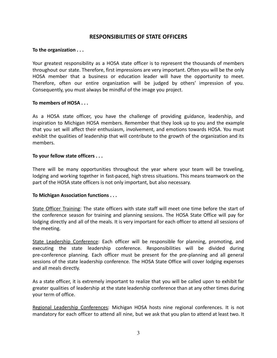### **RESPONSIBILITIES OF STATE OFFICERS**

#### **To the organization . . .**

Your greatest responsibility as a HOSA state officer is to represent the thousands of members throughout our state. Therefore, first impressions are very important. Often you will be the only HOSA member that a business or education leader will have the opportunity to meet. Therefore, often our entire organization will be judged by others' impression of you. Consequently, you must always be mindful of the image you project.

#### **To members of HOSA . . .**

As a HOSA state officer, you have the challenge of providing guidance, leadership, and inspiration to Michigan HOSA members. Remember that they look up to you and the example that you set will affect their enthusiasm, involvement, and emotions towards HOSA. You must exhibit the qualities of leadership that will contribute to the growth of the organization and its members.

#### **To your fellow state officers . . .**

There will be many opportunities throughout the year where your team will be traveling, lodging and working together in fast-paced, high stress situations. This means teamwork on the part of the HOSA state officers is not only important, but also necessary.

#### **To Michigan Association functions . . .**

State Officer Training: The state officers with state staff will meet one time before the start of the conference season for training and planning sessions. The HOSA State Office will pay for lodging directly and all of the meals. It is very important for each officer to attend all sessions of the meeting.

State Leadership Conference: Each officer will be responsible for planning, promoting, and executing the state leadership conference. Responsibilities will be divided during pre-conference planning. Each officer must be present for the pre-planning and all general sessions of the state leadership conference. The HOSA State Office will cover lodging expenses and all meals directly.

As a state officer, it is extremely important to realize that you will be called upon to exhibit far greater qualities of leadership at the state leadership conference than at any other times during your term of office.

Regional Leadership Conferences: Michigan HOSA hosts nine regional conferences. It is not mandatory for each officer to attend all nine, but we ask that you plan to attend at least two. It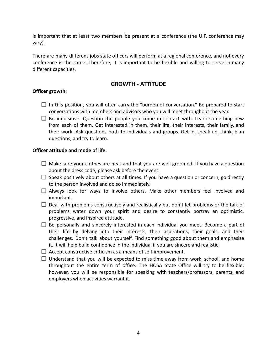is important that at least two members be present at a conference (the U.P. conference may vary).

There are many different jobs state officers will perform at a regional conference, and not every conference is the same. Therefore, it is important to be flexible and willing to serve in many different capacities.

#### **GROWTH - ATTITUDE**

#### **Officer growth:**

- $\Box$  In this position, you will often carry the "burden of conversation." Be prepared to start conversations with members and advisors who you will meet throughout the year.
- $\square$  Be inquisitive. Question the people you come in contact with. Learn something new from each of them. Get interested in them, their life, their interests, their family, and their work. Ask questions both to individuals and groups. Get in, speak up, think, plan questions, and try to learn.

#### **Officer attitude and mode of life:**

- $\Box$  Make sure your clothes are neat and that you are well groomed. If you have a question about the dress code, please ask before the event.
- $\square$  Speak positively about others at all times. If you have a question or concern, go directly to the person involved and do so immediately.
- $\Box$  Always look for ways to involve others. Make other members feel involved and important.
- $\Box$  Deal with problems constructively and realistically but don't let problems or the talk of problems water down your spirit and desire to constantly portray an optimistic, progressive, and inspired attitude.
- $\Box$  Be personally and sincerely interested in each individual you meet. Become a part of their life by delving into their interests, their aspirations, their goals, and their challenges. Don't talk about yourself. Find something good about them and emphasize it. It will help build confidence in the individual if you are sincere and realistic.
- $\Box$  Accept constructive criticism as a means of self-improvement.
- $\Box$  Understand that you will be expected to miss time away from work, school, and home throughout the entire term of office. The HOSA State Office will try to be flexible; however, you will be responsible for speaking with teachers/professors, parents, and employers when activities warrant it.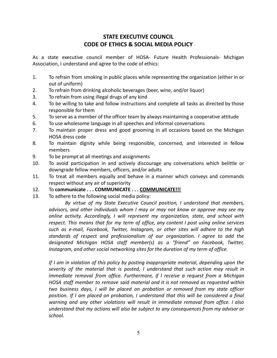## **STATE EXECUTIVE COUNCIL CODE OF ETHICS & SOCIAL MEDIA POLICY**

As a state executive council member of HOSA- Future Health Professionals- Michigan Association, I understand and agree to the code of ethics:

- 1. To refrain from smoking in public places while representing the organization (either in or out of uniform)
- 2. To refrain from drinking alcoholic beverages (beer, wine, and/or liquor)
- 3. To refrain from using illegal drugs of any kind
- 4. To be willing to take and follow instructions and complete all tasks as directed by those responsible for them
- 5. To serve as a member of the officer team by always maintaining a cooperative attitude
- 6. To use wholesome language in all speeches and informal conversations
- 7. To maintain proper dress and good grooming in all occasions based on the Michigan HOSA dress code
- 8. To maintain dignity while being responsible, concerned, and interested in fellow members
- 9. To be prompt at all meetings and assignments
- 10. To avoid participation in and actively discourage any conversations which belittle or downgrade fellow members, officers, and/or adults
- 11. To treat all members equally and behave in a manner which conveys and commands respect without any air of superiority
- 12. To **communicate . . . COMMUNICATE . . . COMMUNICATE!!!**
- 13. To adhere to the following social media policy:

*By virtue of my State Executive Council position, I understand that members, advisors, and other individuals whom I may or may not know or approve may see my online activity. Accordingly, I will represent my organization, state, and school with respect. This means that for my term of office, any content I post using online services such as e-mail, Facebook, Twitter, Instagram, or other sites will adhere to the high standards of respect and professionalism of our organization. I agree to add the designated Michigan HOSA staff member(s) as a "friend" on Facebook, Twitter, Instagram, and other social networking sites for the duration of my term of office.*

*If I am in violation of this policy by posting inappropriate material, depending upon the severity of the material that is posted, I understand that such action may result in immediate removal from office. Furthermore, if I receive a request from a Michigan HOSA staff member to remove said material and it is not removed as requested within two business days, I will be placed on probation or removed from my state officer position. If I am placed on probation, I understand that this will be considered a final warning and any other violations will result in immediate removal from office. I also understand that my actions will also be subject to any consequences from my advisor or school.*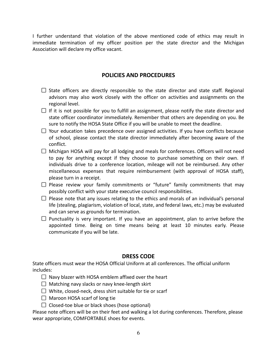I further understand that violation of the above mentioned code of ethics may result in immediate termination of my officer position per the state director and the Michigan Association will declare my office vacant.

## **POLICIES AND PROCEDURES**

- $\square$  State officers are directly responsible to the state director and state staff. Regional advisors may also work closely with the officer on activities and assignments on the regional level.
- $\Box$  If it is not possible for you to fulfill an assignment, please notify the state director and state officer coordinator immediately. Remember that others are depending on you. Be sure to notify the HOSA State Office if you will be unable to meet the deadline.
- $\Box$  Your education takes precedence over assigned activities. If you have conflicts because of school, please contact the state director immediately after becoming aware of the conflict.
- $\Box$  Michigan HOSA will pay for all lodging and meals for conferences. Officers will not need to pay for anything except if they choose to purchase something on their own. If individuals drive to a conference location, mileage will not be reimbursed. Any other miscellaneous expenses that require reimbursement (with approval of HOSA staff), please turn in a receipt.
- $\square$  Please review your family commitments or "future" family commitments that may possibly conflict with your state executive council responsibilities.
- $\Box$  Please note that any issues relating to the ethics and morals of an individual's personal life (stealing, plagiarism, violation of local, state, and federal laws, etc.) may be evaluated and can serve as grounds for termination.
- $\Box$  Punctuality is very important. If you have an appointment, plan to arrive before the appointed time. Being on time means being at least 10 minutes early. Please communicate if you will be late.

### **DRESS CODE**

State officers must wear the HOSA Official Uniform at all conferences. The official uniform includes:

- $\Box$  Navy blazer with HOSA emblem affixed over the heart
- $\Box$  Matching navy slacks or navy knee-length skirt
- $\Box$  White, closed-neck, dress shirt suitable for tie or scarf
- $\Box$  Maroon HOSA scarf of long tie
- $\Box$  Closed-toe blue or black shoes (hose optional)

Please note officers will be on their feet and walking a lot during conferences. Therefore, please wear appropriate, COMFORTABLE shoes for events.